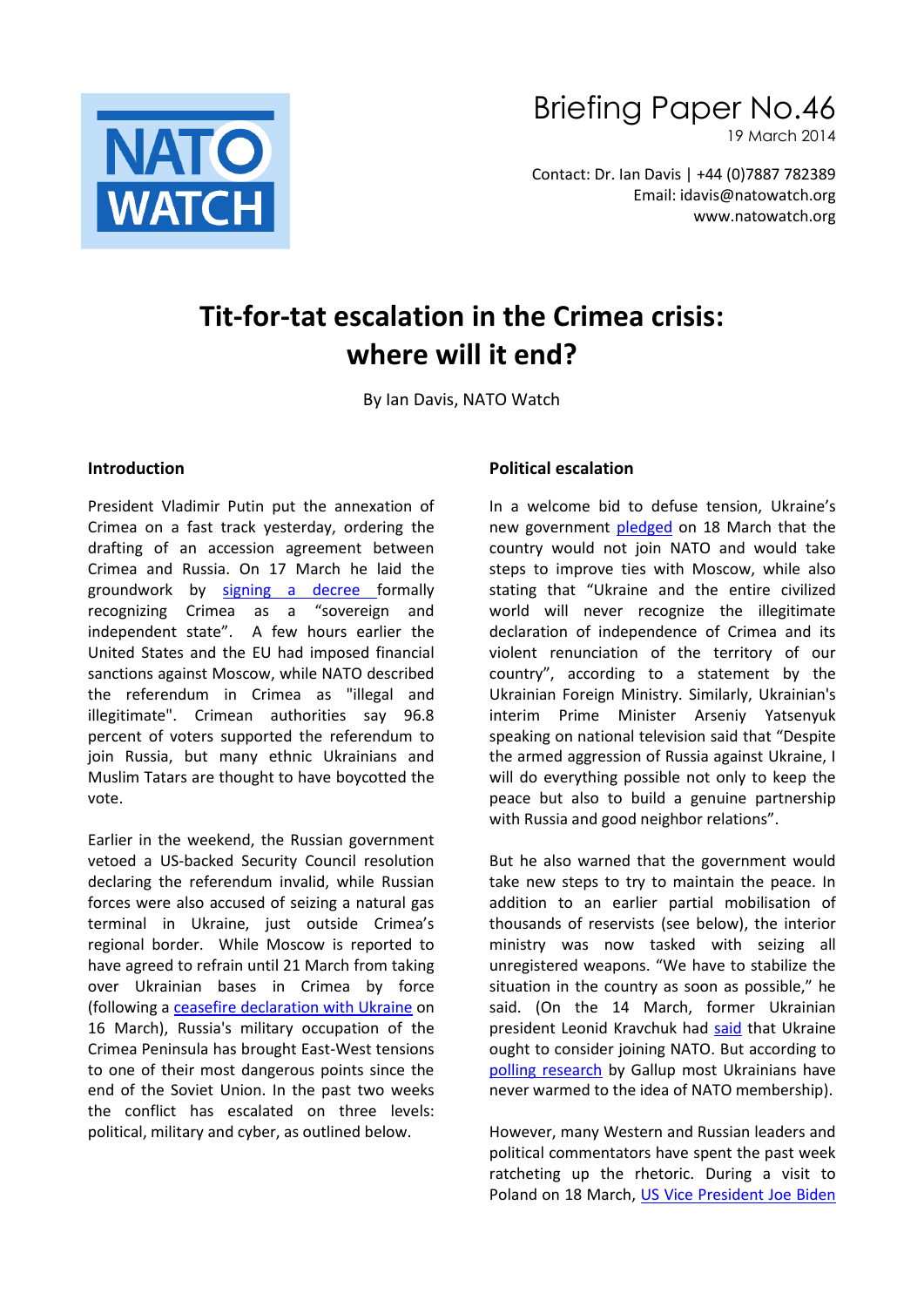

# Briefing Paper No.46

19 March 2014

Contact: Dr. Ian Davis | +44 (0)7887 782389 Email: idavis@natowatch.org www.natowatch.org

## **Tit-for-tat escalation in the Crimea crisis: where will it end?**

By Ian Davis, NATO Watch

#### **Introduction**

President Vladimir Putin put the annexation of Crimea on a fast track yesterday, ordering the drafting of an accession agreement between Crimea and Russia. On 17 March he laid the groundwork by signing [a decree](http://www.nytimes.com/2014/03/18/world/europe/us-imposes-new-sanctions-on-russian-officials.html?emc=edit_th_20140318&nl=todaysheadlines&nlid=49448091&_r=0) formally recognizing Crimea as a "sovereign and independent state". A few hours earlier the United States and the EU had imposed financial sanctions against Moscow, while NATO described the referendum in Crimea as "illegal and illegitimate". Crimean authorities say 96.8 percent of voters supported the referendum to join Russia, but many ethnic Ukrainians and Muslim Tatars are thought to have boycotted the vote.

Earlier in the weekend, the Russian government vetoed a US-backed Security Council resolution declaring the referendum invalid, while Russian forces were also accused of seizing a natural gas terminal in Ukraine, just outside Crimea's regional border. While Moscow is reported to have agreed to refrain until 21 March from taking over Ukrainian bases in Crimea by force (following a [ceasefire declaration with Ukraine](http://www.thedailybeast.com/articles/2014/03/17/obama-has-5-days-to-stop-putin-in-crimea.html) on 16 March), Russia's military occupation of the Crimea Peninsula has brought East-West tensions to one of their most dangerous points since the end of the Soviet Union. In the past two weeks the conflict has escalated on three levels: political, military and cyber, as outlined below.

#### **Political escalation**

In a welcome bid to defuse tension, Ukraine's new government [pledged](http://www.washingtonpost.com/world/ukraine-government-tries-to-defuse-tension-with-russia-pledges-it-wont-join-nato/2014/03/18/15663a32-ae8e-11e3-96dc-d6ea14c099f9_story.html) on 18 March that the country would not join NATO and would take steps to improve ties with Moscow, while also stating that "Ukraine and the entire civilized world will never recognize the illegitimate declaration of independence of Crimea and its violent renunciation of the territory of our country", according to a statement by the Ukrainian Foreign Ministry. Similarly, Ukrainian's interim Prime Minister Arseniy Yatsenyuk speaking on national television said that "Despite the armed aggression of Russia against Ukraine, I will do everything possible not only to keep the peace but also to build a genuine partnership with Russia and good neighbor relations".

But he also warned that the government would take new steps to try to maintain the peace. In addition to an earlier partial mobilisation of thousands of reservists (see below), the interior ministry was now tasked with seizing all unregistered weapons. "We have to stabilize the situation in the country as soon as possible," he said. (On the 14 March, former Ukrainian president Leonid Kravchuk had [said](http://www.charter97.org/en/news/2014/3/14/90493/) that Ukraine ought to consider joining NATO. But according to [polling research](http://www.gallup.com/poll/167927/crisis-ukrainians-likely-nato-threat.aspx) by Gallup most Ukrainians have never warmed to the idea of NATO membership).

However, many Western and Russian leaders and political commentators have spent the past week ratcheting up the rhetoric. During a visit to Poland on 18 March, [US Vice President Joe Biden](http://www.rferl.org/content/nato-russia-crimea-ukraine-biden-international-law/25301448.html)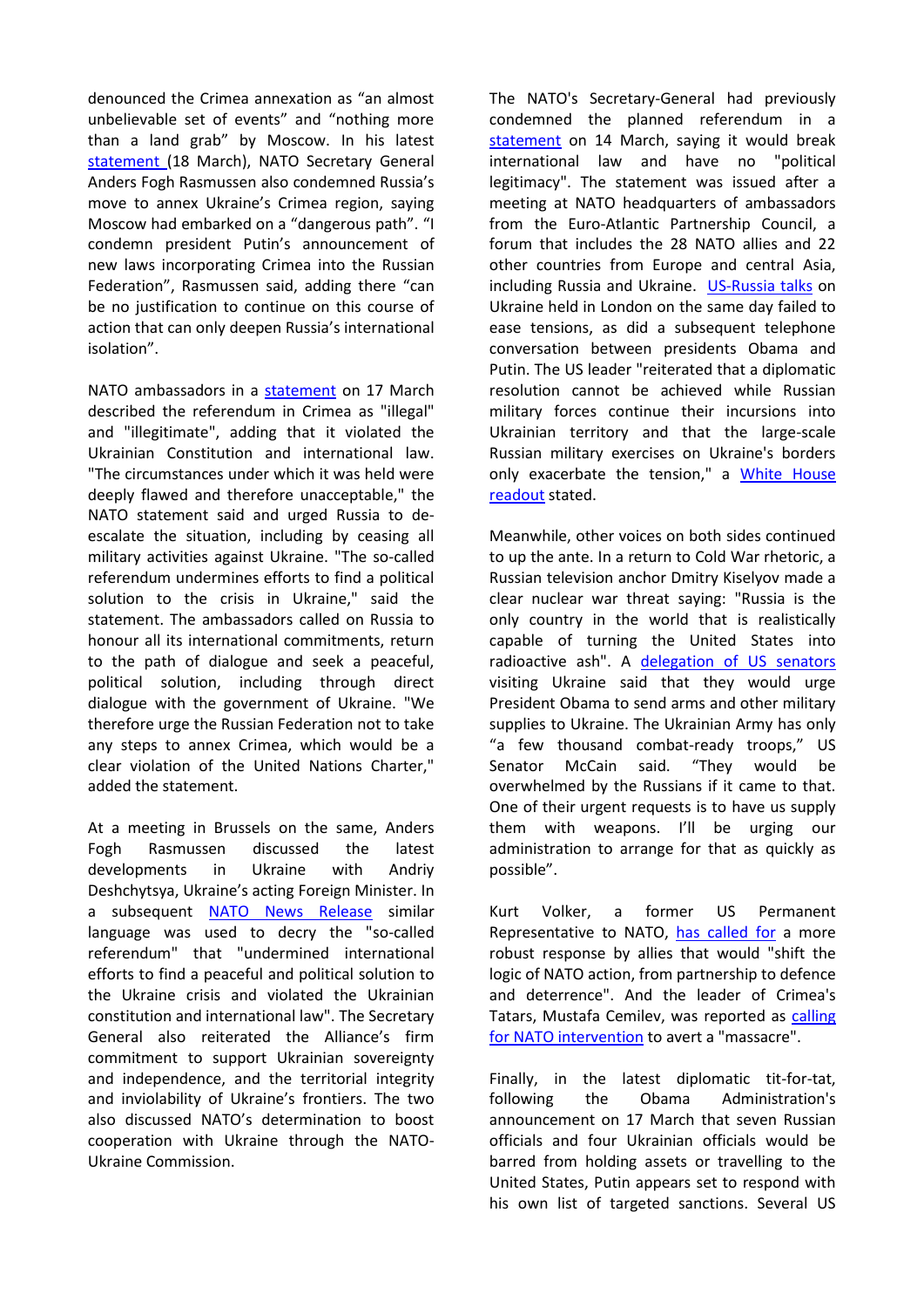denounced the Crimea annexation as "an almost unbelievable set of events" and "nothing more than a land grab" by Moscow. In his latest [statement](http://www.nato.int/cps/en/natolive/news_108100.htm) (18 March), NATO Secretary General Anders Fogh Rasmussen also condemned Russia's move to annex Ukraine's Crimea region, saying Moscow had embarked on a "dangerous path". "I condemn president Putin's announcement of new laws incorporating Crimea into the Russian Federation", Rasmussen said, adding there "can be no justification to continue on this course of action that can only deepen Russia's international isolation".

NATO ambassadors in a [statement](http://www.nato.int/cps/en/natolive/news_108030.htm) on 17 March described the referendum in Crimea as "illegal" and "illegitimate", adding that it violated the Ukrainian Constitution and international law. "The circumstances under which it was held were deeply flawed and therefore unacceptable," the NATO statement said and urged Russia to deescalate the situation, including by ceasing all military activities against Ukraine. "The so-called referendum undermines efforts to find a political solution to the crisis in Ukraine," said the statement. The ambassadors called on Russia to honour all its international commitments, return to the path of dialogue and seek a peaceful, political solution, including through direct dialogue with the government of Ukraine. "We therefore urge the Russian Federation not to take any steps to annex Crimea, which would be a clear violation of the United Nations Charter," added the statement.

At a meeting in Brussels on the same, Anders Fogh Rasmussen discussed the latest developments in Ukraine with Andriy Deshchytsya, Ukraine's acting Foreign Minister. In a subsequent [NATO News Release](http://www.nato.int/cps/en/natolive/news_108029.htm) similar language was used to decry the "so-called referendum" that "undermined international efforts to find a peaceful and political solution to the Ukraine crisis and violated the Ukrainian constitution and international law". The Secretary General also reiterated the Alliance's firm commitment to support Ukrainian sovereignty and independence, and the territorial integrity and inviolability of Ukraine's frontiers. The two also discussed NATO's determination to boost cooperation with Ukraine through the NATO-Ukraine Commission.

The NATO's Secretary-General had previously condemned the planned referendum in a [statement](http://www.nato.int/cps/en/natolive/news_108021.htm) on 14 March, saying it would break international law and have no "political legitimacy". The statement was issued after a meeting at NATO headquarters of ambassadors from the Euro-Atlantic Partnership Council, a forum that includes the 28 NATO allies and 22 other countries from Europe and central Asia, including Russia and Ukraine. [US-Russia talks](http://www.nytimes.com/2014/03/15/world/europe/john-kerry-russia-ukraine-talks.html?emc=edit_th_20140315&nl=todaysheadlines&nlid=49448091&_r=0) on Ukraine held in London on the same day failed to ease tensions, as did a subsequent telephone conversation between presidents Obama and Putin. The US leader "reiterated that a diplomatic resolution cannot be achieved while Russian military forces continue their incursions into Ukrainian territory and that the large-scale Russian military exercises on Ukraine's borders only exacerbate the tension," a [White House](http://www.whitehouse.gov/the-press-office/2014/03/16/readout-president-s-call-president-putin)  [readout](http://www.whitehouse.gov/the-press-office/2014/03/16/readout-president-s-call-president-putin) stated.

Meanwhile, other voices on both sides continued to up the ante. In a return to Cold War rhetoric, a Russian television anchor Dmitry Kiselyov made a clear nuclear war threat saying: "Russia is the only country in the world that is realistically capable of turning the United States into radioactive ash". A [delegation of US senators](http://www.kyivpost.com/content/ukraine/mccain-durbin-say-they-will-urge-obama-to-send-weapons-to-ukraine-339474.html) visiting Ukraine said that they would urge President Obama to send arms and other military supplies to Ukraine. The Ukrainian Army has only "a few thousand combat-ready troops," US Senator McCain said. "They would be overwhelmed by the Russians if it came to that. One of their urgent requests is to have us supply them with weapons. I'll be urging our administration to arrange for that as quickly as possible".

Kurt Volker, a former US Permanent Representative to NATO, [has called for](http://www.foreignpolicy.com/articles/2014/03/18/wheres_nato_in_crimea) a more robust response by allies that would "shift the logic of NATO action, from partnership to defence and deterrence". And the leader of Crimea's Tatars, Mustafa Cemilev, was reported as [calling](http://www.euronews.com/2014/03/14/crimea-tatar-leader-urges-nato-intervention/) [for NATO intervention](http://www.euronews.com/2014/03/14/crimea-tatar-leader-urges-nato-intervention/) to avert a "massacre".

Finally, in the latest diplomatic tit-for-tat, following the Obama Administration's announcement on 17 March that seven Russian officials and four Ukrainian officials would be barred from holding assets or travelling to the United States, Putin appears set to respond with his own list of targeted sanctions. Several US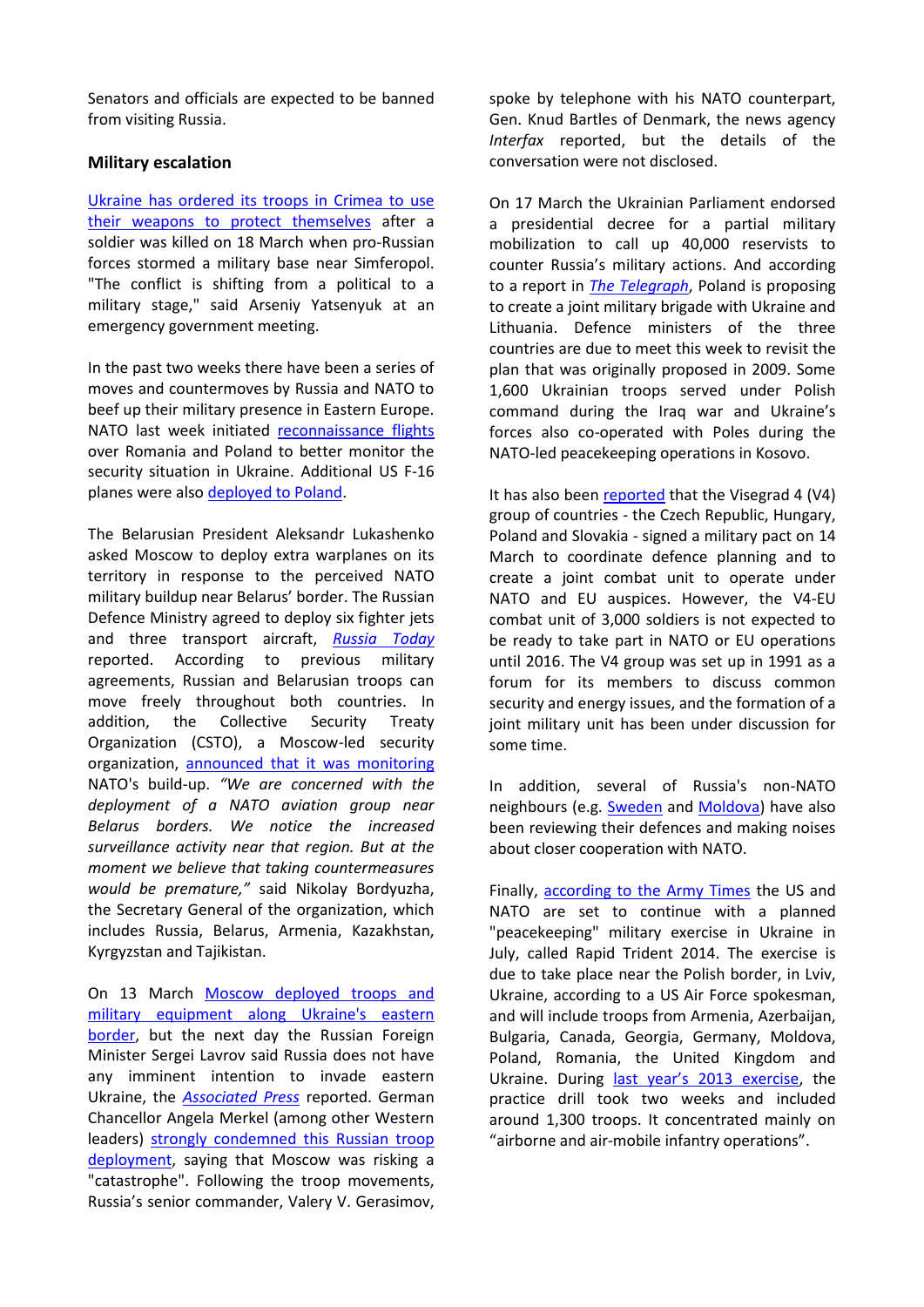Senators and officials are expected to be banned from visiting Russia.

#### **Military escalation**

Ukraine [has ordered its troops in Crimea to use](http://www.theguardian.com/world/2014/mar/18/crimea-ukraine-weapons-self-defence)  [their weapons to protect themselves](http://www.theguardian.com/world/2014/mar/18/crimea-ukraine-weapons-self-defence) after a soldier was killed on 18 March when pro-Russian forces stormed a military base near Simferopol. "The conflict is shifting from a political to a military stage," said Arseniy Yatsenyuk at an emergency government meeting.

In the past two weeks there have been a series of moves and countermoves by Russia and NATO to beef up their military presence in Eastern Europe. NATO last week initiated [reconnaissance flights](http://www.natowatch.org/node/1425) over Romania and Poland to better monitor the security situation in Ukraine. Additional US F-16 planes were also [deployed to Poland.](http://news.yahoo.com/amid-ukraine-tension-u-f-16-fighters-land-173619873--sector.html)

The Belarusian President Aleksandr Lukashenko asked Moscow to deploy extra warplanes on its territory in response to the perceived NATO military buildup near Belarus' border. The Russian Defence Ministry agreed to deploy six fighter jets and three transport aircraft, *[Russia](http://rt.com/news/belarus-planes-nato-poland-594/) Today* reported. According to previous military agreements, Russian and Belarusian troops can move freely throughout both countries. In addition, the Collective Security Treaty Organization (CSTO), a Moscow-led security organization, [announced that it was monitoring](http://rt.com/news/csto-monitor-nato-ukraine-586/) NATO's build-up. *"We are concerned with the deployment of a NATO aviation group near Belarus borders. We notice the increased surveillance activity near that region. But at the moment we believe that taking countermeasures would be premature,"* said Nikolay Bordyuzha, the Secretary General of the organization, which includes Russia, Belarus, Armenia, Kazakhstan, Kyrgyzstan and Tajikistan.

On 13 March [Moscow deployed troops and](http://www.nytimes.com/2014/03/14/world/europe/ukraine.html?emc=edit_th_20140314&nl=todaysheadlines&nlid=49448091&_r=0)  [military equipment along Ukraine's eastern](http://www.nytimes.com/2014/03/14/world/europe/ukraine.html?emc=edit_th_20140314&nl=todaysheadlines&nlid=49448091&_r=0)  [border,](http://www.nytimes.com/2014/03/14/world/europe/ukraine.html?emc=edit_th_20140314&nl=todaysheadlines&nlid=49448091&_r=0) but the next day the Russian Foreign Minister Sergei Lavrov said Russia does not have any imminent intention to invade eastern Ukraine, the *[Associated Press](http://www.washingtonpost.com/world/europe/russian-foreign-minister-lavrov-says-russia-has-no-plans-to-invade-southeastern-ukraine/2014/03/14/3078b166-ab90-11e3-b8ca-197ef3568958_story.html)* reported. German Chancellor Angela Merkel (among other Western leaders) [strongly condemned this Russian troop](http://www.nytimes.com/2014/03/14/world/europe/ukraine.html)  [deployment,](http://www.nytimes.com/2014/03/14/world/europe/ukraine.html) saying that Moscow was risking a "catastrophe". Following the troop movements, Russia's senior commander, Valery V. Gerasimov,

spoke by telephone with his NATO counterpart, Gen. Knud Bartles of Denmark, the news agency *Interfax* reported, but the details of the conversation were not disclosed.

On 17 March the Ukrainian Parliament endorsed a presidential decree for a partial military mobilization to call up 40,000 reservists to counter Russia's military actions. And according to a report in *[The Telegraph](http://www.telegraph.co.uk/news/worldnews/europe/ukraine/10703016/Poland-plans-to-reform-military-brigade-with-Ukraine-and-Lithuania.html)*, Poland is proposing to create a joint military brigade with Ukraine and Lithuania. Defence ministers of the three countries are due to meet this week to revisit the plan that was originally proposed in 2009. Some 1,600 Ukrainian troops served under Polish command during the Iraq war and Ukraine's forces also co-operated with Poles during the NATO-led peacekeeping operations in Kosovo.

It has also been [reported](http://www.channelnewsasia.com/news/world/former-soviet-satellites/1036288.html) that the Visegrad 4 (V4) group of countries - the Czech Republic, Hungary, Poland and Slovakia - signed a military pact on 14 March to coordinate defence planning and to create a joint combat unit to operate under NATO and EU auspices. However, the V4-EU combat unit of 3,000 soldiers is not expected to be ready to take part in NATO or EU operations until 2016. The V4 group was set up in 1991 as a forum for its members to discuss common security and energy issues, and the formation of a joint military unit has been under discussion for some time.

In addition, several of Russia's non-NATO neighbours (e.g. [Sweden](http://www.defensenews.com/article/20140316/DEFREG01/303160008/Russian-Threat-Re-Energizes-Sweden-s-Push-Join-NATO-Boost-Spending) and [Moldova\)](http://www.laht.com/article.asp?ArticleId=1791922&CategoryId=12395) have also been reviewing their defences and making noises about closer cooperation with NATO.

Finally, [according to the Army Times](http://www.armytimes.com/article/20140316/NEWS/303160016/U-S-Army-Europe-hold-exercise-July-Ukraine) the US and NATO are set to continue with a planned "peacekeeping" military exercise in Ukraine in July, called Rapid Trident 2014. The exercise is due to take place near the Polish border, in Lviv, Ukraine, according to a US Air Force spokesman, and will include troops from Armenia, Azerbaijan, Bulgaria, Canada, Georgia, Germany, Moldova, Poland, Romania, the United Kingdom and Ukraine. During [last year's 2013 exercise](https://www.facebook.com/ExerciseRapidTrident2013?filter=2), the practice drill took two weeks and included around 1,300 troops. It concentrated mainly on "airborne and air-mobile infantry operations".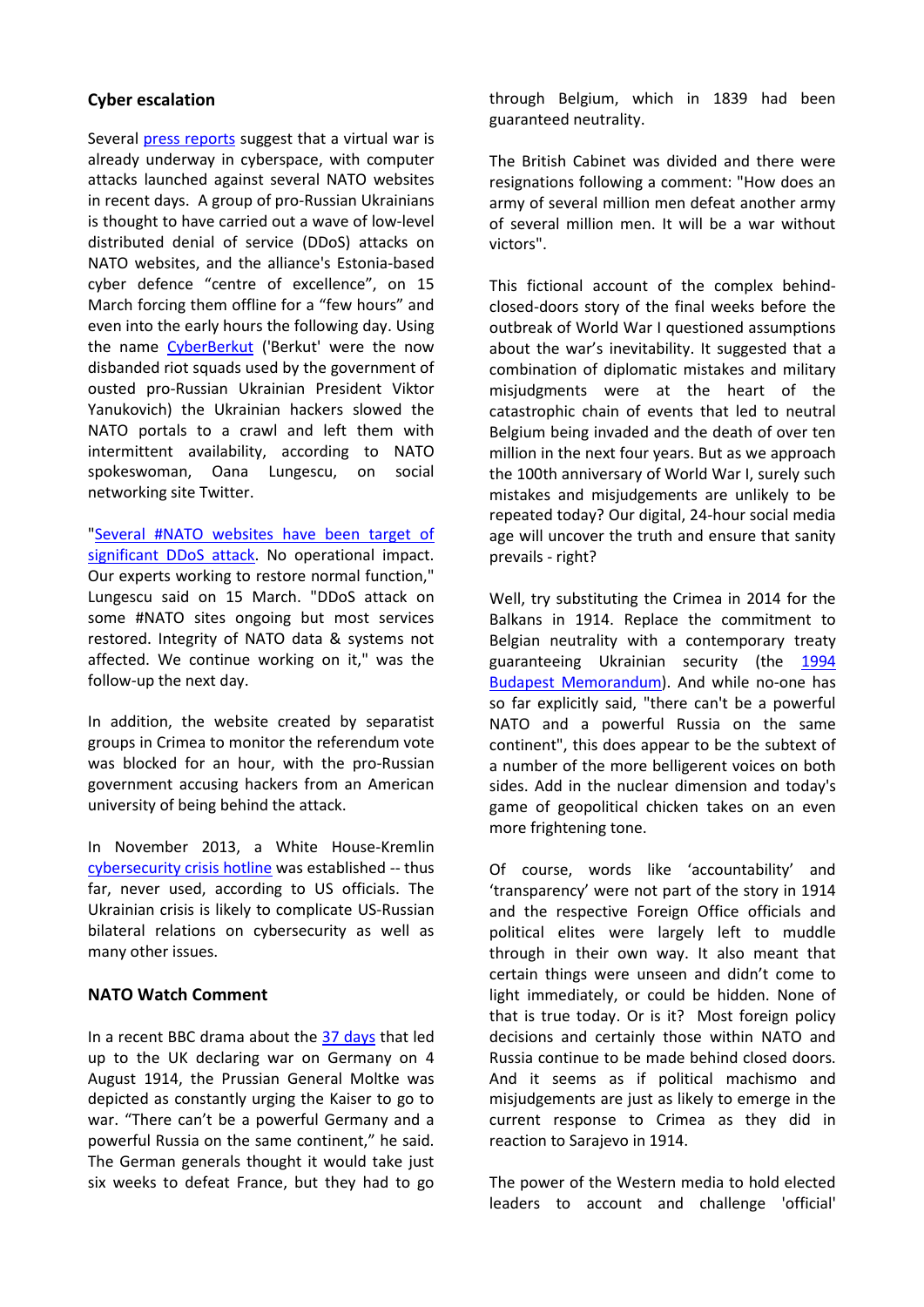### **Cyber escalation**

Several [press reports](http://www.scmagazineuk.com/crimea-battle-continues-ukrainian-hackers-ddos-nato-websites/article/338502/) suggest that a virtual war is already underway in cyberspace, with computer attacks launched against several NATO websites in recent days. A group of pro-Russian Ukrainians is thought to have carried out a wave of low-level distributed denial of service (DDoS) attacks on NATO websites, and the alliance's Estonia-based cyber defence "centre of excellence", on 15 March forcing them offline for a "few hours" and even into the early hours the following day. Using the name [CyberBerkut](http://www.cyber-berkut.org/) ('Berkut' were the now disbanded riot squads used by the government of ousted pro-Russian Ukrainian President Viktor Yanukovich) the Ukrainian hackers slowed the NATO portals to a crawl and left them with intermittent availability, according to NATO spokeswoman, Oana Lungescu, on social networking site Twitter.

["Several #NATO websites have been target of](https://twitter.com/NATOpress)  [significant DDoS attack.](https://twitter.com/NATOpress) No operational impact. Our experts working to restore normal function," Lungescu said on 15 March. "DDoS attack on some #NATO sites ongoing but most services restored. Integrity of NATO data & systems not affected. We continue working on it," was the follow-up the next day.

In addition, the website created by separatist groups in Crimea to monitor the referendum vote was blocked for an hour, with the pro-Russian government accusing hackers from an American university of being behind the attack.

In November 2013, a White House-Kremlin [cybersecurity crisis hotline](http://insidecybersecurity.com/Cyber-General/Cyber-Public-Content/us-russian-cybersecurity-talks-face-uncertainty-amid-ukrainian-crisis/menu-id-1089.html?utm_source=Sailthru&utm_medium=email&utm_term=%2ASituation%20Report&utm_campaign=SITREP%20MARCH%2014%252) was established -- thus far, never used, according to US officials. The Ukrainian crisis is likely to complicate US-Russian bilateral relations on cybersecurity as well as many other issues.

#### **NATO Watch Comment**

In a recent BBC drama about the [37 days](http://en.wikipedia.org/wiki/37_Days_(TV_series)) that led up to the UK declaring war on Germany on 4 August 1914, the Prussian General Moltke was depicted as constantly urging the Kaiser to go to war. "There can't be a powerful Germany and a powerful Russia on the same continent," he said. The German generals thought it would take just six weeks to defeat France, but they had to go

through Belgium, which in 1839 had been guaranteed neutrality.

The British Cabinet was divided and there were resignations following a comment: "How does an army of several million men defeat another army of several million men. It will be a war without victors".

This fictional account of the complex behindclosed-doors story of the final weeks before the outbreak of World War I questioned assumptions about the war's inevitability. It suggested that a combination of diplomatic mistakes and military misjudgments were at the heart of the catastrophic chain of events that led to neutral Belgium being invaded and the death of over ten million in the next four years. But as we approach the 100th anniversary of World War I, surely such mistakes and misjudgements are unlikely to be repeated today? Our digital, 24-hour social media age will uncover the truth and ensure that sanity prevails - right?

Well, try substituting the Crimea in 2014 for the Balkans in 1914. Replace the commitment to Belgian neutrality with a contemporary treaty guaranteeing Ukrainian security (the [1994](http://en.wikipedia.org/wiki/Budapest_Memorandum_on_Security_Assurances)  **[Budapest Memorandum\)](http://en.wikipedia.org/wiki/Budapest_Memorandum_on_Security_Assurances). And while no-one has** so far explicitly said, "there can't be a powerful NATO and a powerful Russia on the same continent", this does appear to be the subtext of a number of the more belligerent voices on both sides. Add in the nuclear dimension and today's game of geopolitical chicken takes on an even more frightening tone.

Of course, words like 'accountability' and 'transparency' were not part of the story in 1914 and the respective Foreign Office officials and political elites were largely left to muddle through in their own way. It also meant that certain things were unseen and didn't come to light immediately, or could be hidden. None of that is true today. Or is it? Most foreign policy decisions and certainly those within NATO and Russia continue to be made behind closed doors. And it seems as if political machismo and misjudgements are just as likely to emerge in the current response to Crimea as they did in reaction to Sarajevo in 1914.

The power of the Western media to hold elected leaders to account and challenge 'official'